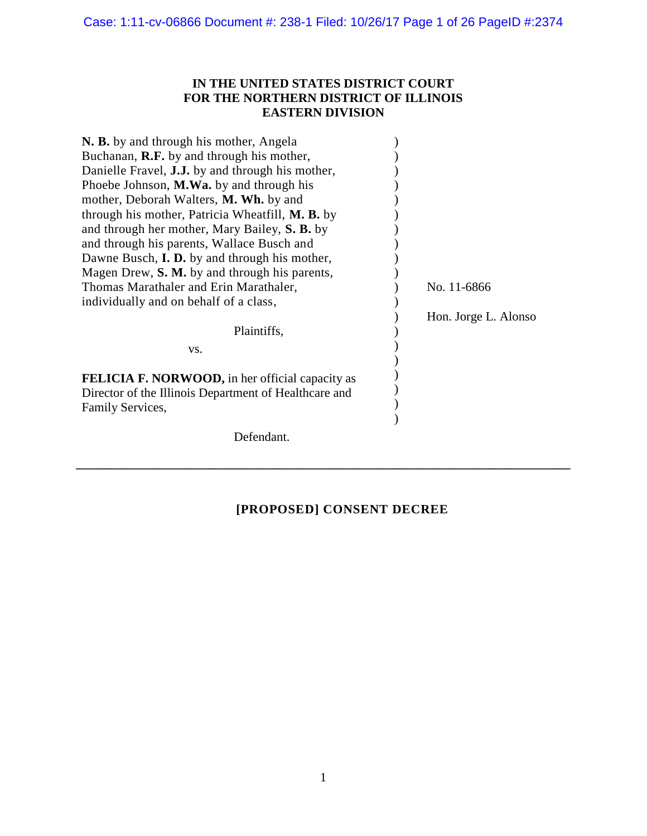# **IN THE UNITED STATES DISTRICT COURT FOR THE NORTHERN DISTRICT OF ILLINOIS EASTERN DIVISION**

| N. B. by and through his mother, Angela                 |                      |
|---------------------------------------------------------|----------------------|
| Buchanan, R.F. by and through his mother,               |                      |
| Danielle Fravel, <b>J.J.</b> by and through his mother, |                      |
| Phoebe Johnson, M.Wa. by and through his                |                      |
| mother, Deborah Walters, M. Wh. by and                  |                      |
| through his mother, Patricia Wheatfill, M. B. by        |                      |
| and through her mother, Mary Bailey, S. B. by           |                      |
| and through his parents, Wallace Busch and              |                      |
| Dawne Busch, <b>I. D.</b> by and through his mother,    |                      |
| Magen Drew, S. M. by and through his parents,           |                      |
| Thomas Marathaler and Erin Marathaler,                  | No. 11-6866          |
| individually and on behalf of a class,                  |                      |
|                                                         | Hon. Jorge L. Alonso |
| Plaintiffs,                                             |                      |
| VS.                                                     |                      |
| <b>FELICIA F. NORWOOD, in her official capacity as</b>  |                      |
| Director of the Illinois Department of Healthcare and   |                      |
| Family Services,                                        |                      |
|                                                         |                      |
| Defendant.                                              |                      |

# **[PROPOSED] CONSENT DECREE**

**\_\_\_\_\_\_\_\_\_\_\_\_\_\_\_\_\_\_\_\_\_\_\_\_\_\_\_\_\_\_\_\_\_\_\_\_\_\_\_\_\_\_\_\_\_\_\_\_\_\_\_\_\_\_\_\_\_\_\_\_\_\_\_\_\_\_\_\_\_\_\_\_\_\_\_\_\_\_**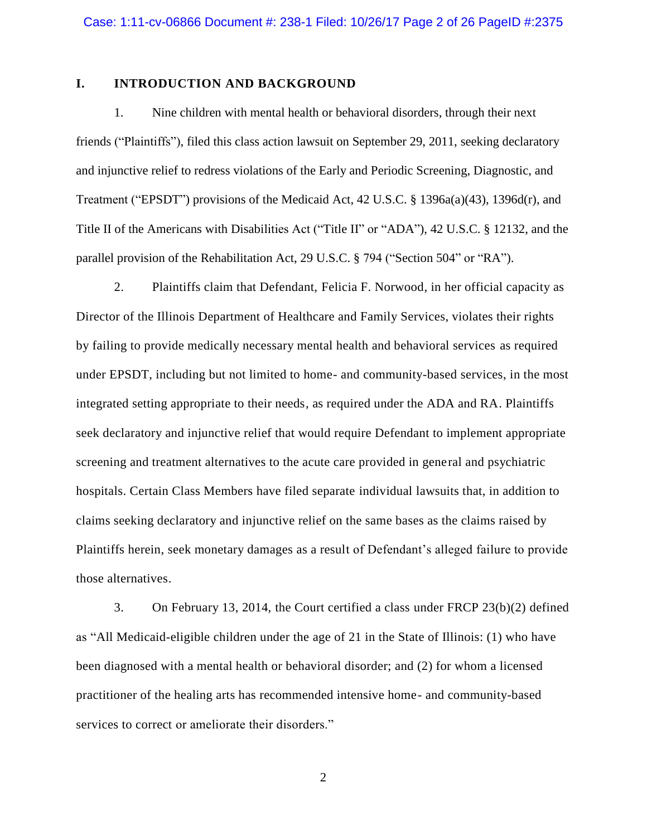# **I. INTRODUCTION AND BACKGROUND**

1. Nine children with mental health or behavioral disorders, through their next friends ("Plaintiffs"), filed this class action lawsuit on September 29, 2011, seeking declaratory and injunctive relief to redress violations of the Early and Periodic Screening, Diagnostic, and Treatment ("EPSDT") provisions of the Medicaid Act, 42 U.S.C. § 1396a(a)(43), 1396d(r), and Title II of the Americans with Disabilities Act ("Title II" or "ADA"), 42 U.S.C. § 12132, and the parallel provision of the Rehabilitation Act, 29 U.S.C. § 794 ("Section 504" or "RA").

2. Plaintiffs claim that Defendant, Felicia F. Norwood, in her official capacity as Director of the Illinois Department of Healthcare and Family Services, violates their rights by failing to provide medically necessary mental health and behavioral services as required under EPSDT, including but not limited to home- and community-based services, in the most integrated setting appropriate to their needs, as required under the ADA and RA. Plaintiffs seek declaratory and injunctive relief that would require Defendant to implement appropriate screening and treatment alternatives to the acute care provided in general and psychiatric hospitals. Certain Class Members have filed separate individual lawsuits that, in addition to claims seeking declaratory and injunctive relief on the same bases as the claims raised by Plaintiffs herein, seek monetary damages as a result of Defendant's alleged failure to provide those alternatives.

3. On February 13, 2014, the Court certified a class under FRCP 23(b)(2) defined as "All Medicaid-eligible children under the age of 21 in the State of Illinois: (1) who have been diagnosed with a mental health or behavioral disorder; and (2) for whom a licensed practitioner of the healing arts has recommended intensive home- and community-based services to correct or ameliorate their disorders."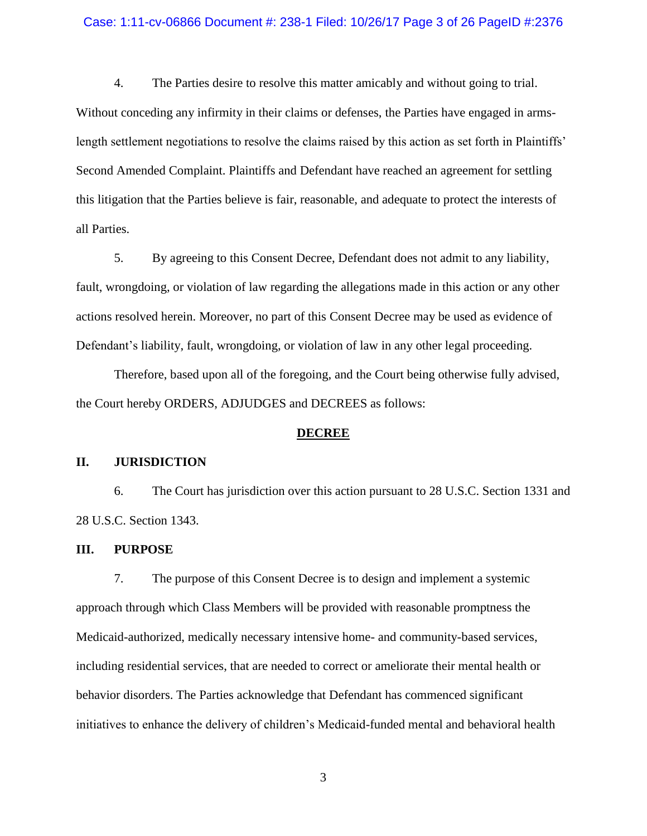#### Case: 1:11-cv-06866 Document #: 238-1 Filed: 10/26/17 Page 3 of 26 PageID #:2376

4. The Parties desire to resolve this matter amicably and without going to trial. Without conceding any infirmity in their claims or defenses, the Parties have engaged in armslength settlement negotiations to resolve the claims raised by this action as set forth in Plaintiffs' Second Amended Complaint. Plaintiffs and Defendant have reached an agreement for settling this litigation that the Parties believe is fair, reasonable, and adequate to protect the interests of all Parties.

5. By agreeing to this Consent Decree, Defendant does not admit to any liability, fault, wrongdoing, or violation of law regarding the allegations made in this action or any other actions resolved herein. Moreover, no part of this Consent Decree may be used as evidence of Defendant's liability, fault, wrongdoing, or violation of law in any other legal proceeding.

Therefore, based upon all of the foregoing, and the Court being otherwise fully advised, the Court hereby ORDERS, ADJUDGES and DECREES as follows:

#### **DECREE**

# **II. JURISDICTION**

6. The Court has jurisdiction over this action pursuant to 28 U.S.C. Section 1331 and 28 U.S.C. Section 1343.

#### **III. PURPOSE**

7. The purpose of this Consent Decree is to design and implement a systemic approach through which Class Members will be provided with reasonable promptness the Medicaid-authorized, medically necessary intensive home- and community-based services, including residential services, that are needed to correct or ameliorate their mental health or behavior disorders. The Parties acknowledge that Defendant has commenced significant initiatives to enhance the delivery of children's Medicaid-funded mental and behavioral health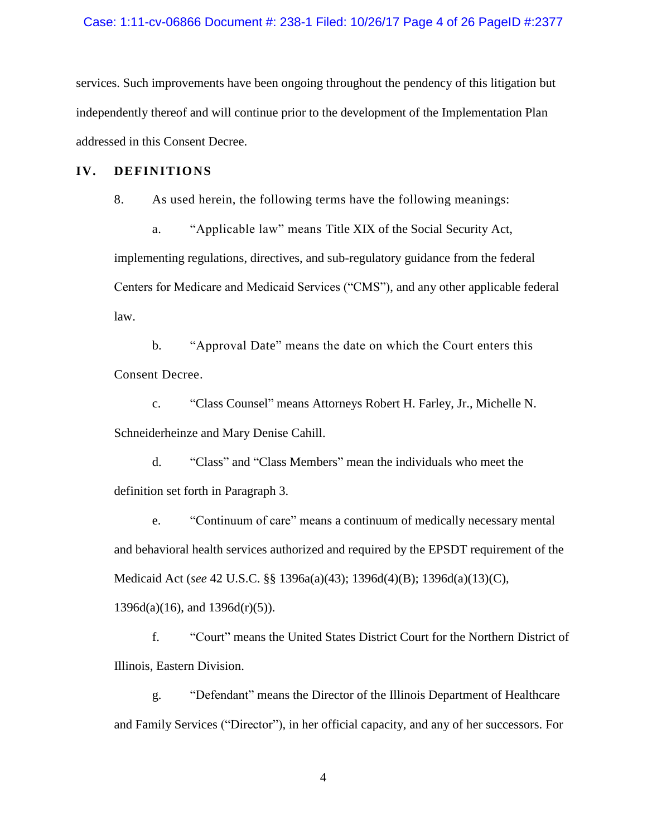#### Case: 1:11-cv-06866 Document #: 238-1 Filed: 10/26/17 Page 4 of 26 PageID #:2377

services. Such improvements have been ongoing throughout the pendency of this litigation but independently thereof and will continue prior to the development of the Implementation Plan addressed in this Consent Decree.

# **IV. DEFINITIONS**

8. As used herein, the following terms have the following meanings:

a. "Applicable law" means Title XIX of the Social Security Act, implementing regulations, directives, and sub-regulatory guidance from the federal Centers for Medicare and Medicaid Services ("CMS"), and any other applicable federal law.

b. "Approval Date" means the date on which the Court enters this Consent Decree.

c. "Class Counsel" means Attorneys Robert H. Farley, Jr., Michelle N. Schneiderheinze and Mary Denise Cahill.

d. "Class" and "Class Members" mean the individuals who meet the definition set forth in Paragraph 3.

e. "Continuum of care" means a continuum of medically necessary mental and behavioral health services authorized and required by the EPSDT requirement of the Medicaid Act (*see* 42 U.S.C. §§ 1396a(a)(43); 1396d(4)(B); 1396d(a)(13)(C),  $1396d(a)(16)$ , and  $1396d(r)(5)$ ).

f. "Court" means the United States District Court for the Northern District of Illinois, Eastern Division.

g. "Defendant" means the Director of the Illinois Department of Healthcare and Family Services ("Director"), in her official capacity, and any of her successors. For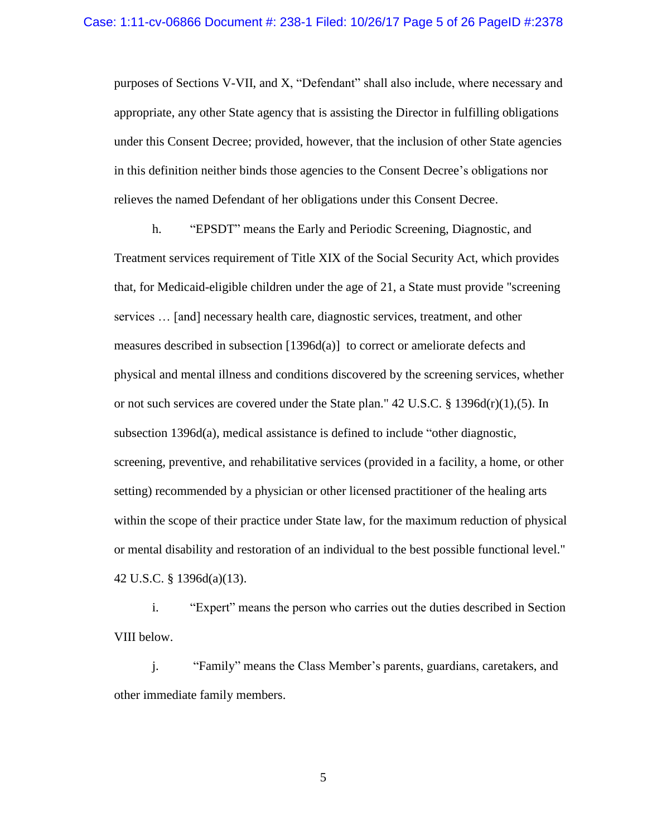purposes of Sections V-VII, and X, "Defendant" shall also include, where necessary and appropriate, any other State agency that is assisting the Director in fulfilling obligations under this Consent Decree; provided, however, that the inclusion of other State agencies in this definition neither binds those agencies to the Consent Decree's obligations nor relieves the named Defendant of her obligations under this Consent Decree.

h. "EPSDT" means the Early and Periodic Screening, Diagnostic, and Treatment services requirement of Title XIX of the Social Security Act, which provides that, for Medicaid-eligible children under the age of 21, a State must provide "screening services … [and] necessary health care, diagnostic services, treatment, and other measures described in subsection  $[1396d(a)]$  to correct or ameliorate defects and physical and mental illness and conditions discovered by the screening services, whether or not such services are covered under the State plan."  $42 \text{ U.S.C.}$  §  $1396d(r)(1),(5)$ . In subsection 1396d(a), medical assistance is defined to include "other diagnostic, screening, preventive, and rehabilitative services (provided in a facility, a home, or other setting) recommended by a physician or other licensed practitioner of the healing arts within the scope of their practice under State law, for the maximum reduction of physical or mental disability and restoration of an individual to the best possible functional level." 42 U.S.C. § 1396d(a)(13).

i. "Expert" means the person who carries out the duties described in Section VIII below.

j. "Family" means the Class Member's parents, guardians, caretakers, and other immediate family members.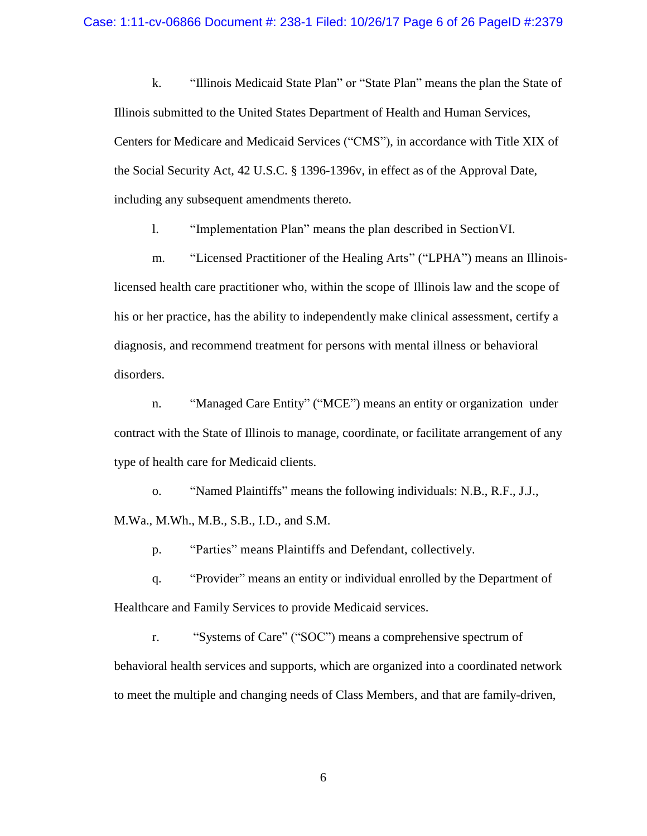k. "Illinois Medicaid State Plan" or "State Plan" means the plan the State of Illinois submitted to the United States Department of Health and Human Services, Centers for Medicare and Medicaid Services ("CMS"), in accordance with Title XIX of the Social Security Act, 42 U.S.C. § 1396-1396v, in effect as of the Approval Date, including any subsequent amendments thereto.

l. "Implementation Plan" means the plan described in SectionVI.

m. "Licensed Practitioner of the Healing Arts" ("LPHA") means an Illinoislicensed health care practitioner who, within the scope of Illinois law and the scope of his or her practice, has the ability to independently make clinical assessment, certify a diagnosis, and recommend treatment for persons with mental illness or behavioral disorders.

n. "Managed Care Entity" ("MCE") means an entity or organization under contract with the State of Illinois to manage, coordinate, or facilitate arrangement of any type of health care for Medicaid clients.

o. "Named Plaintiffs" means the following individuals: N.B., R.F., J.J., M.Wa., M.Wh., M.B., S.B., I.D., and S.M.

p. "Parties" means Plaintiffs and Defendant, collectively.

q. "Provider" means an entity or individual enrolled by the Department of Healthcare and Family Services to provide Medicaid services.

r. "Systems of Care" ("SOC") means a comprehensive spectrum of behavioral health services and supports, which are organized into a coordinated network to meet the multiple and changing needs of Class Members, and that are family-driven,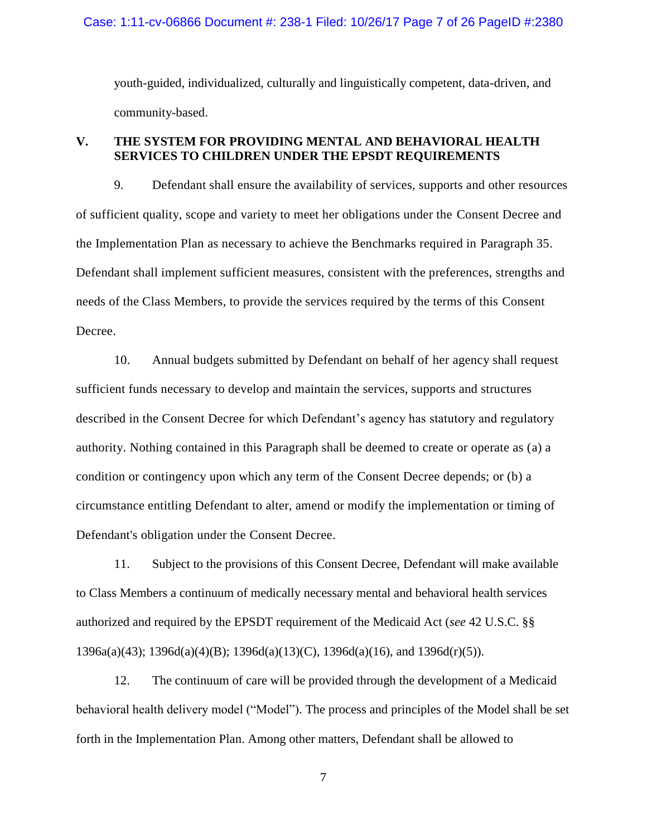#### Case: 1:11-cv-06866 Document #: 238-1 Filed: 10/26/17 Page 7 of 26 PageID #:2380

youth-guided, individualized, culturally and linguistically competent, data-driven, and community-based.

# **V. THE SYSTEM FOR PROVIDING MENTAL AND BEHAVIORAL HEALTH SERVICES TO CHILDREN UNDER THE EPSDT REQUIREMENTS**

9. Defendant shall ensure the availability of services, supports and other resources of sufficient quality, scope and variety to meet her obligations under the Consent Decree and the Implementation Plan as necessary to achieve the Benchmarks required in Paragraph 35. Defendant shall implement sufficient measures, consistent with the preferences, strengths and needs of the Class Members, to provide the services required by the terms of this Consent Decree.

10. Annual budgets submitted by Defendant on behalf of her agency shall request sufficient funds necessary to develop and maintain the services, supports and structures described in the Consent Decree for which Defendant's agency has statutory and regulatory authority. Nothing contained in this Paragraph shall be deemed to create or operate as (a) a condition or contingency upon which any term of the Consent Decree depends; or (b) a circumstance entitling Defendant to alter, amend or modify the implementation or timing of Defendant's obligation under the Consent Decree.

11. Subject to the provisions of this Consent Decree, Defendant will make available to Class Members a continuum of medically necessary mental and behavioral health services authorized and required by the EPSDT requirement of the Medicaid Act (*see* 42 U.S.C. §§ 1396a(a)(43); 1396d(a)(4)(B); 1396d(a)(13)(C), 1396d(a)(16), and 1396d(r)(5)).

12. The continuum of care will be provided through the development of a Medicaid behavioral health delivery model ("Model"). The process and principles of the Model shall be set forth in the Implementation Plan. Among other matters, Defendant shall be allowed to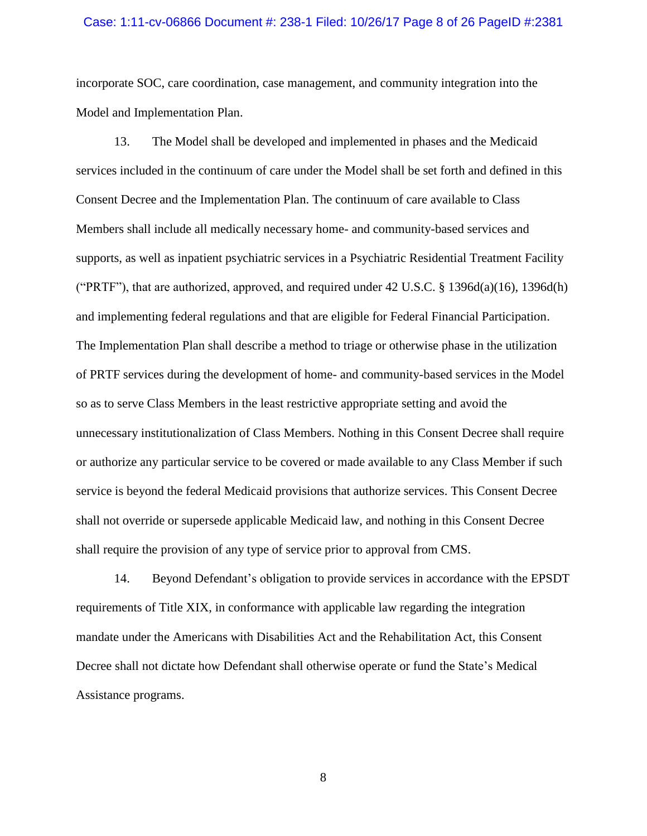#### Case: 1:11-cv-06866 Document #: 238-1 Filed: 10/26/17 Page 8 of 26 PageID #:2381

incorporate SOC, care coordination, case management, and community integration into the Model and Implementation Plan.

13. The Model shall be developed and implemented in phases and the Medicaid services included in the continuum of care under the Model shall be set forth and defined in this Consent Decree and the Implementation Plan. The continuum of care available to Class Members shall include all medically necessary home- and community-based services and supports, as well as inpatient psychiatric services in a Psychiatric Residential Treatment Facility ("PRTF"), that are authorized, approved, and required under  $42 \text{ U.S.C. }$  §  $1396d(a)(16)$ ,  $1396d(h)$ and implementing federal regulations and that are eligible for Federal Financial Participation. The Implementation Plan shall describe a method to triage or otherwise phase in the utilization of PRTF services during the development of home- and community-based services in the Model so as to serve Class Members in the least restrictive appropriate setting and avoid the unnecessary institutionalization of Class Members. Nothing in this Consent Decree shall require or authorize any particular service to be covered or made available to any Class Member if such service is beyond the federal Medicaid provisions that authorize services. This Consent Decree shall not override or supersede applicable Medicaid law, and nothing in this Consent Decree shall require the provision of any type of service prior to approval from CMS.

14. Beyond Defendant's obligation to provide services in accordance with the EPSDT requirements of Title XIX, in conformance with applicable law regarding the integration mandate under the Americans with Disabilities Act and the Rehabilitation Act, this Consent Decree shall not dictate how Defendant shall otherwise operate or fund the State's Medical Assistance programs.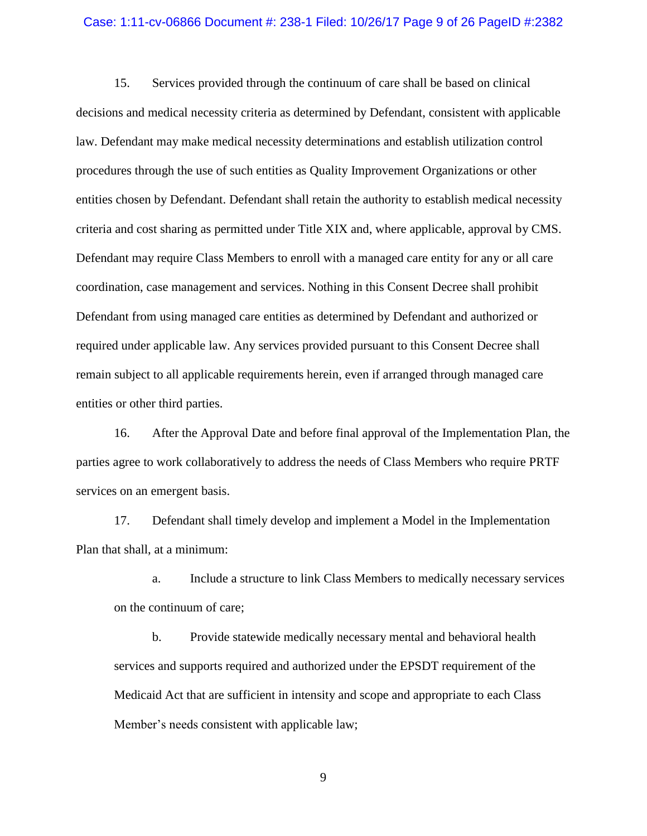#### Case: 1:11-cv-06866 Document #: 238-1 Filed: 10/26/17 Page 9 of 26 PageID #:2382

15. Services provided through the continuum of care shall be based on clinical decisions and medical necessity criteria as determined by Defendant, consistent with applicable law. Defendant may make medical necessity determinations and establish utilization control procedures through the use of such entities as Quality Improvement Organizations or other entities chosen by Defendant. Defendant shall retain the authority to establish medical necessity criteria and cost sharing as permitted under Title XIX and, where applicable, approval by CMS. Defendant may require Class Members to enroll with a managed care entity for any or all care coordination, case management and services. Nothing in this Consent Decree shall prohibit Defendant from using managed care entities as determined by Defendant and authorized or required under applicable law. Any services provided pursuant to this Consent Decree shall remain subject to all applicable requirements herein, even if arranged through managed care entities or other third parties.

16. After the Approval Date and before final approval of the Implementation Plan, the parties agree to work collaboratively to address the needs of Class Members who require PRTF services on an emergent basis.

17. Defendant shall timely develop and implement a Model in the Implementation Plan that shall, at a minimum:

a. Include a structure to link Class Members to medically necessary services on the continuum of care;

b. Provide statewide medically necessary mental and behavioral health services and supports required and authorized under the EPSDT requirement of the Medicaid Act that are sufficient in intensity and scope and appropriate to each Class Member's needs consistent with applicable law;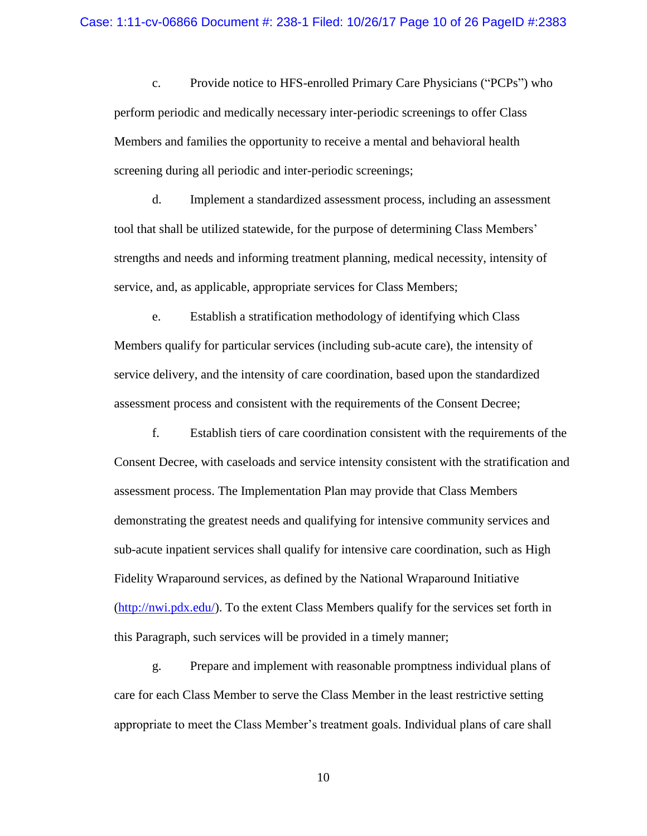c. Provide notice to HFS-enrolled Primary Care Physicians ("PCPs") who perform periodic and medically necessary inter-periodic screenings to offer Class Members and families the opportunity to receive a mental and behavioral health screening during all periodic and inter-periodic screenings;

d. Implement a standardized assessment process, including an assessment tool that shall be utilized statewide, for the purpose of determining Class Members' strengths and needs and informing treatment planning, medical necessity, intensity of service, and, as applicable, appropriate services for Class Members;

e. Establish a stratification methodology of identifying which Class Members qualify for particular services (including sub-acute care), the intensity of service delivery, and the intensity of care coordination, based upon the standardized assessment process and consistent with the requirements of the Consent Decree;

f. Establish tiers of care coordination consistent with the requirements of the Consent Decree, with caseloads and service intensity consistent with the stratification and assessment process. The Implementation Plan may provide that Class Members demonstrating the greatest needs and qualifying for intensive community services and sub-acute inpatient services shall qualify for intensive care coordination, such as High Fidelity Wraparound services, as defined by the National Wraparound Initiative  $(\frac{http://nwi.pdfx.edu/}{http://nwi.pdfx.edu/}{$ . To the extent Class Members qualify for the services set forth in this Paragraph, such services will be provided in a timely manner;

g. Prepare and implement with reasonable promptness individual plans of care for each Class Member to serve the Class Member in the least restrictive setting appropriate to meet the Class Member's treatment goals. Individual plans of care shall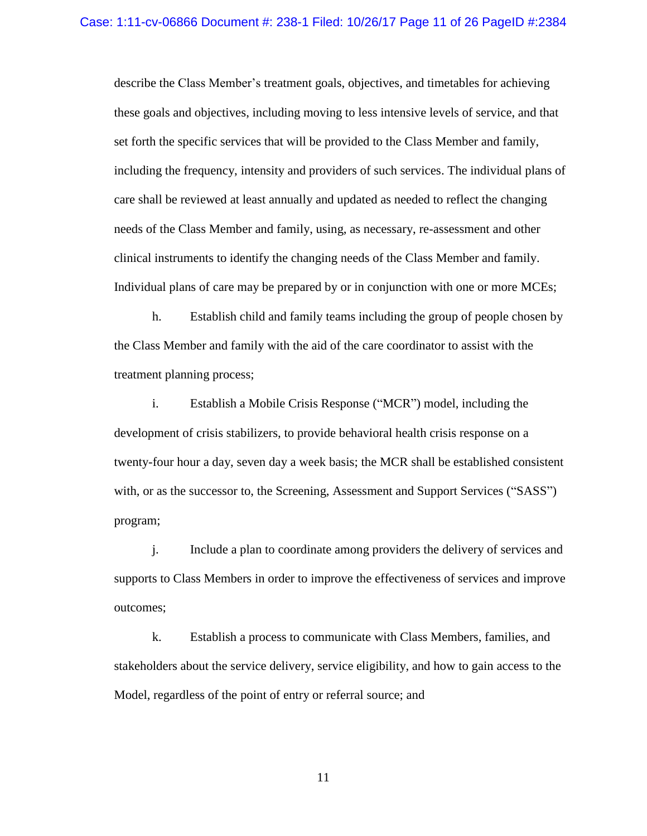describe the Class Member's treatment goals, objectives, and timetables for achieving these goals and objectives, including moving to less intensive levels of service, and that set forth the specific services that will be provided to the Class Member and family, including the frequency, intensity and providers of such services. The individual plans of care shall be reviewed at least annually and updated as needed to reflect the changing needs of the Class Member and family, using, as necessary, re-assessment and other clinical instruments to identify the changing needs of the Class Member and family. Individual plans of care may be prepared by or in conjunction with one or more MCEs;

h. Establish child and family teams including the group of people chosen by the Class Member and family with the aid of the care coordinator to assist with the treatment planning process;

i. Establish a Mobile Crisis Response ("MCR") model, including the development of crisis stabilizers, to provide behavioral health crisis response on a twenty-four hour a day, seven day a week basis; the MCR shall be established consistent with, or as the successor to, the Screening, Assessment and Support Services ("SASS") program;

j. Include a plan to coordinate among providers the delivery of services and supports to Class Members in order to improve the effectiveness of services and improve outcomes;

k. Establish a process to communicate with Class Members, families, and stakeholders about the service delivery, service eligibility, and how to gain access to the Model, regardless of the point of entry or referral source; and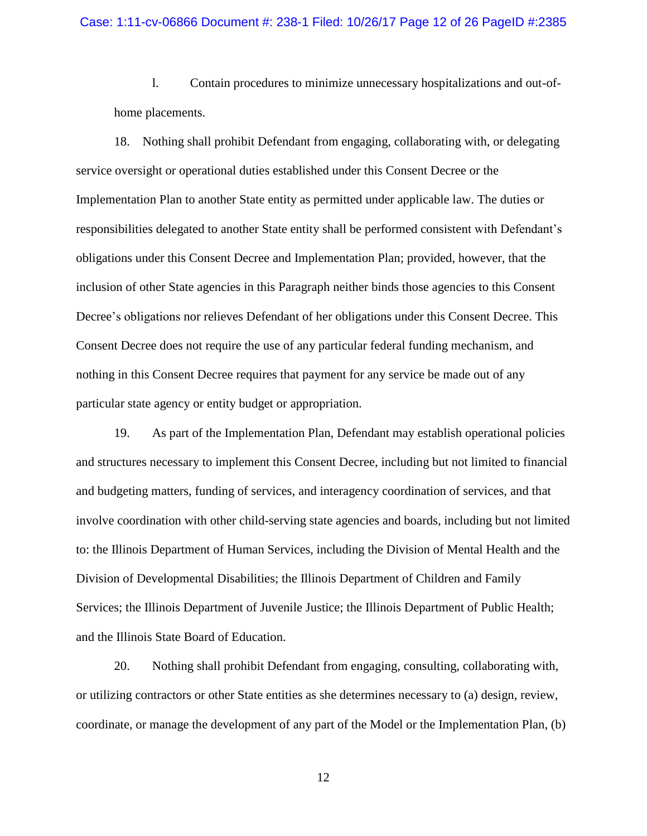l. Contain procedures to minimize unnecessary hospitalizations and out-ofhome placements.

18. Nothing shall prohibit Defendant from engaging, collaborating with, or delegating service oversight or operational duties established under this Consent Decree or the Implementation Plan to another State entity as permitted under applicable law. The duties or responsibilities delegated to another State entity shall be performed consistent with Defendant's obligations under this Consent Decree and Implementation Plan; provided, however, that the inclusion of other State agencies in this Paragraph neither binds those agencies to this Consent Decree's obligations nor relieves Defendant of her obligations under this Consent Decree. This Consent Decree does not require the use of any particular federal funding mechanism, and nothing in this Consent Decree requires that payment for any service be made out of any particular state agency or entity budget or appropriation.

19. As part of the Implementation Plan, Defendant may establish operational policies and structures necessary to implement this Consent Decree, including but not limited to financial and budgeting matters, funding of services, and interagency coordination of services, and that involve coordination with other child-serving state agencies and boards, including but not limited to: the Illinois Department of Human Services, including the Division of Mental Health and the Division of Developmental Disabilities; the Illinois Department of Children and Family Services; the Illinois Department of Juvenile Justice; the Illinois Department of Public Health; and the Illinois State Board of Education.

20. Nothing shall prohibit Defendant from engaging, consulting, collaborating with, or utilizing contractors or other State entities as she determines necessary to (a) design, review, coordinate, or manage the development of any part of the Model or the Implementation Plan, (b)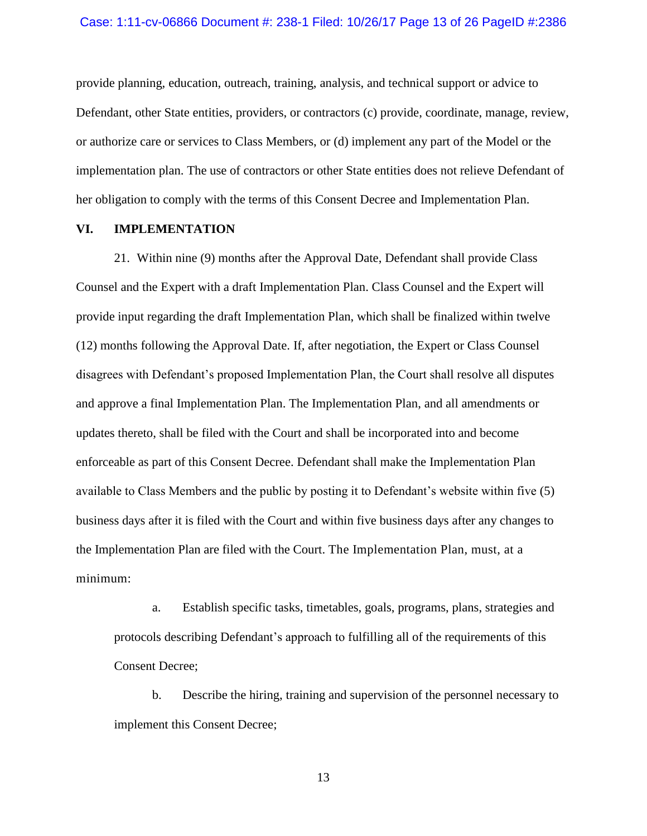provide planning, education, outreach, training, analysis, and technical support or advice to Defendant, other State entities, providers, or contractors (c) provide, coordinate, manage, review, or authorize care or services to Class Members, or (d) implement any part of the Model or the implementation plan. The use of contractors or other State entities does not relieve Defendant of her obligation to comply with the terms of this Consent Decree and Implementation Plan.

## **VI. IMPLEMENTATION**

21. Within nine (9) months after the Approval Date, Defendant shall provide Class Counsel and the Expert with a draft Implementation Plan. Class Counsel and the Expert will provide input regarding the draft Implementation Plan, which shall be finalized within twelve (12) months following the Approval Date. If, after negotiation, the Expert or Class Counsel disagrees with Defendant's proposed Implementation Plan, the Court shall resolve all disputes and approve a final Implementation Plan. The Implementation Plan, and all amendments or updates thereto, shall be filed with the Court and shall be incorporated into and become enforceable as part of this Consent Decree. Defendant shall make the Implementation Plan available to Class Members and the public by posting it to Defendant's website within five (5) business days after it is filed with the Court and within five business days after any changes to the Implementation Plan are filed with the Court. The Implementation Plan, must, at a minimum:

a. Establish specific tasks, timetables, goals, programs, plans, strategies and protocols describing Defendant's approach to fulfilling all of the requirements of this Consent Decree;

b. Describe the hiring, training and supervision of the personnel necessary to implement this Consent Decree;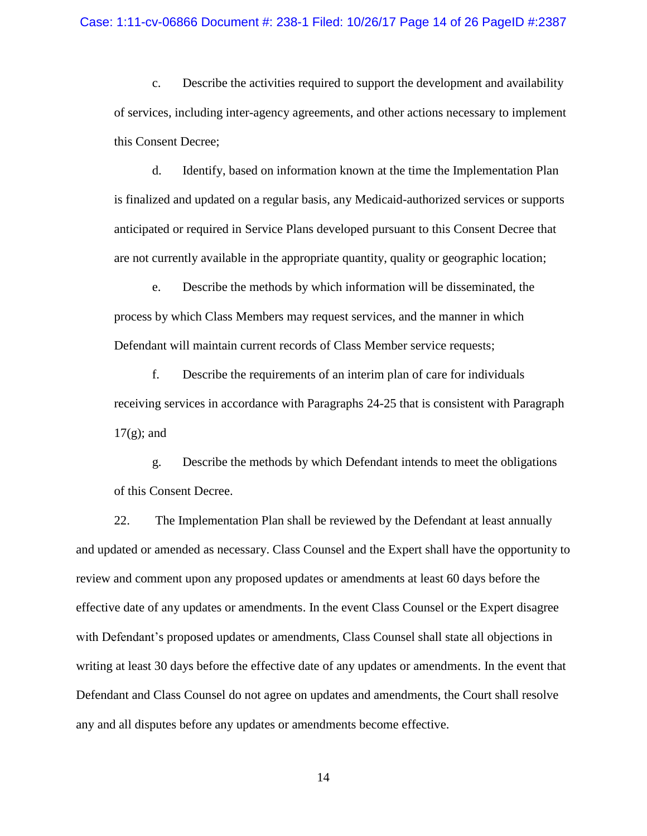c. Describe the activities required to support the development and availability of services, including inter-agency agreements, and other actions necessary to implement this Consent Decree;

d. Identify, based on information known at the time the Implementation Plan is finalized and updated on a regular basis, any Medicaid-authorized services or supports anticipated or required in Service Plans developed pursuant to this Consent Decree that are not currently available in the appropriate quantity, quality or geographic location;

e. Describe the methods by which information will be disseminated, the process by which Class Members may request services, and the manner in which Defendant will maintain current records of Class Member service requests;

f. Describe the requirements of an interim plan of care for individuals receiving services in accordance with Paragraphs 24-25 that is consistent with Paragraph  $17(g)$ ; and

g. Describe the methods by which Defendant intends to meet the obligations of this Consent Decree.

22. The Implementation Plan shall be reviewed by the Defendant at least annually and updated or amended as necessary. Class Counsel and the Expert shall have the opportunity to review and comment upon any proposed updates or amendments at least 60 days before the effective date of any updates or amendments. In the event Class Counsel or the Expert disagree with Defendant's proposed updates or amendments, Class Counsel shall state all objections in writing at least 30 days before the effective date of any updates or amendments. In the event that Defendant and Class Counsel do not agree on updates and amendments, the Court shall resolve any and all disputes before any updates or amendments become effective.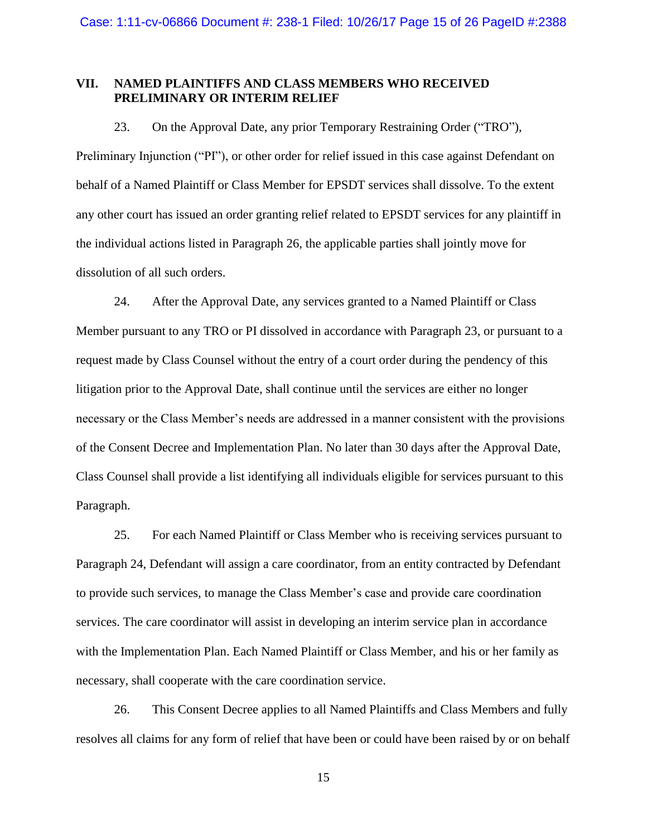# **VII. NAMED PLAINTIFFS AND CLASS MEMBERS WHO RECEIVED PRELIMINARY OR INTERIM RELIEF**

23. On the Approval Date, any prior Temporary Restraining Order ("TRO"), Preliminary Injunction ("PI"), or other order for relief issued in this case against Defendant on behalf of a Named Plaintiff or Class Member for EPSDT services shall dissolve. To the extent any other court has issued an order granting relief related to EPSDT services for any plaintiff in the individual actions listed in Paragraph 26, the applicable parties shall jointly move for dissolution of all such orders.

24. After the Approval Date, any services granted to a Named Plaintiff or Class Member pursuant to any TRO or PI dissolved in accordance with Paragraph 23, or pursuant to a request made by Class Counsel without the entry of a court order during the pendency of this litigation prior to the Approval Date, shall continue until the services are either no longer necessary or the Class Member's needs are addressed in a manner consistent with the provisions of the Consent Decree and Implementation Plan. No later than 30 days after the Approval Date, Class Counsel shall provide a list identifying all individuals eligible for services pursuant to this Paragraph.

25. For each Named Plaintiff or Class Member who is receiving services pursuant to Paragraph 24, Defendant will assign a care coordinator, from an entity contracted by Defendant to provide such services, to manage the Class Member's case and provide care coordination services. The care coordinator will assist in developing an interim service plan in accordance with the Implementation Plan. Each Named Plaintiff or Class Member, and his or her family as necessary, shall cooperate with the care coordination service.

26. This Consent Decree applies to all Named Plaintiffs and Class Members and fully resolves all claims for any form of relief that have been or could have been raised by or on behalf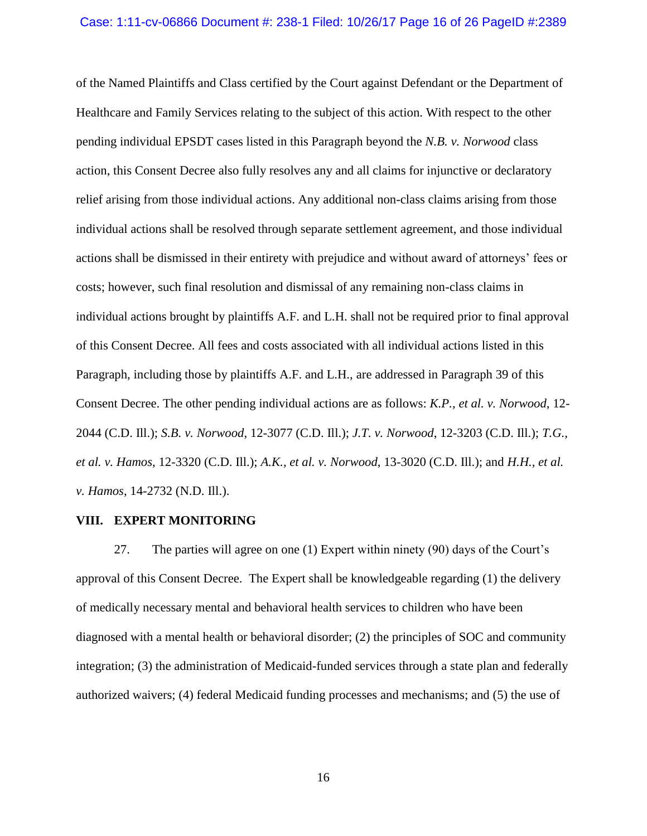#### Case: 1:11-cv-06866 Document #: 238-1 Filed: 10/26/17 Page 16 of 26 PageID #:2389

of the Named Plaintiffs and Class certified by the Court against Defendant or the Department of Healthcare and Family Services relating to the subject of this action. With respect to the other pending individual EPSDT cases listed in this Paragraph beyond the *N.B. v. Norwood* class action, this Consent Decree also fully resolves any and all claims for injunctive or declaratory relief arising from those individual actions. Any additional non-class claims arising from those individual actions shall be resolved through separate settlement agreement, and those individual actions shall be dismissed in their entirety with prejudice and without award of attorneys' fees or costs; however, such final resolution and dismissal of any remaining non-class claims in individual actions brought by plaintiffs A.F. and L.H. shall not be required prior to final approval of this Consent Decree. All fees and costs associated with all individual actions listed in this Paragraph, including those by plaintiffs A.F. and L.H., are addressed in Paragraph 39 of this Consent Decree. The other pending individual actions are as follows: *K.P., et al. v. Norwood*, 12- 2044 (C.D. Ill.); *S.B. v. Norwood*, 12-3077 (C.D. Ill.); *J.T. v. Norwood*, 12-3203 (C.D. Ill.); *T.G., et al. v. Hamos*, 12-3320 (C.D. Ill.); *A.K., et al. v. Norwood*, 13-3020 (C.D. Ill.); and *H.H., et al. v. Hamos*, 14-2732 (N.D. Ill.).

## **VIII. EXPERT MONITORING**

27. The parties will agree on one (1) Expert within ninety (90) days of the Court's approval of this Consent Decree. The Expert shall be knowledgeable regarding (1) the delivery of medically necessary mental and behavioral health services to children who have been diagnosed with a mental health or behavioral disorder; (2) the principles of SOC and community integration; (3) the administration of Medicaid-funded services through a state plan and federally authorized waivers; (4) federal Medicaid funding processes and mechanisms; and (5) the use of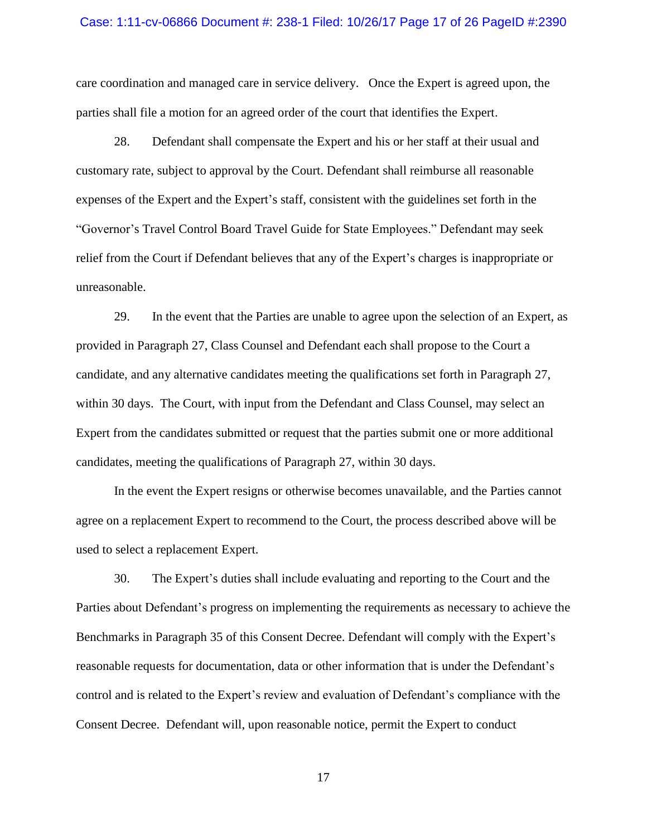#### Case: 1:11-cv-06866 Document #: 238-1 Filed: 10/26/17 Page 17 of 26 PageID #:2390

care coordination and managed care in service delivery. Once the Expert is agreed upon, the parties shall file a motion for an agreed order of the court that identifies the Expert.

28. Defendant shall compensate the Expert and his or her staff at their usual and customary rate, subject to approval by the Court. Defendant shall reimburse all reasonable expenses of the Expert and the Expert's staff, consistent with the guidelines set forth in the "Governor's Travel Control Board Travel Guide for State Employees." Defendant may seek relief from the Court if Defendant believes that any of the Expert's charges is inappropriate or unreasonable.

29. In the event that the Parties are unable to agree upon the selection of an Expert, as provided in Paragraph 27, Class Counsel and Defendant each shall propose to the Court a candidate, and any alternative candidates meeting the qualifications set forth in Paragraph 27, within 30 days. The Court, with input from the Defendant and Class Counsel, may select an Expert from the candidates submitted or request that the parties submit one or more additional candidates, meeting the qualifications of Paragraph 27, within 30 days.

In the event the Expert resigns or otherwise becomes unavailable, and the Parties cannot agree on a replacement Expert to recommend to the Court, the process described above will be used to select a replacement Expert.

30. The Expert's duties shall include evaluating and reporting to the Court and the Parties about Defendant's progress on implementing the requirements as necessary to achieve the Benchmarks in Paragraph 35 of this Consent Decree. Defendant will comply with the Expert's reasonable requests for documentation, data or other information that is under the Defendant's control and is related to the Expert's review and evaluation of Defendant's compliance with the Consent Decree. Defendant will, upon reasonable notice, permit the Expert to conduct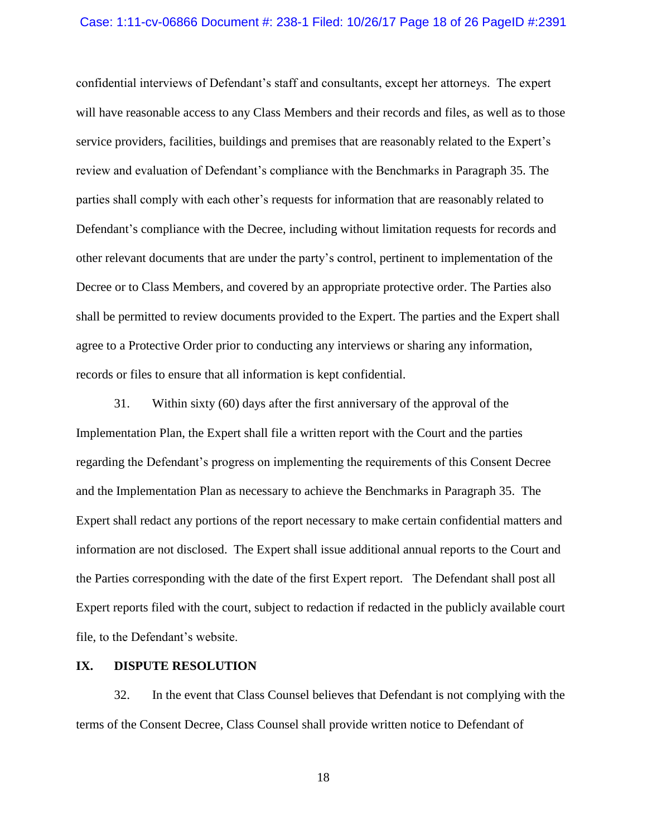#### Case: 1:11-cv-06866 Document #: 238-1 Filed: 10/26/17 Page 18 of 26 PageID #:2391

confidential interviews of Defendant's staff and consultants, except her attorneys. The expert will have reasonable access to any Class Members and their records and files, as well as to those service providers, facilities, buildings and premises that are reasonably related to the Expert's review and evaluation of Defendant's compliance with the Benchmarks in Paragraph 35. The parties shall comply with each other's requests for information that are reasonably related to Defendant's compliance with the Decree, including without limitation requests for records and other relevant documents that are under the party's control, pertinent to implementation of the Decree or to Class Members, and covered by an appropriate protective order. The Parties also shall be permitted to review documents provided to the Expert. The parties and the Expert shall agree to a Protective Order prior to conducting any interviews or sharing any information, records or files to ensure that all information is kept confidential.

31. Within sixty (60) days after the first anniversary of the approval of the Implementation Plan, the Expert shall file a written report with the Court and the parties regarding the Defendant's progress on implementing the requirements of this Consent Decree and the Implementation Plan as necessary to achieve the Benchmarks in Paragraph 35. The Expert shall redact any portions of the report necessary to make certain confidential matters and information are not disclosed. The Expert shall issue additional annual reports to the Court and the Parties corresponding with the date of the first Expert report. The Defendant shall post all Expert reports filed with the court, subject to redaction if redacted in the publicly available court file, to the Defendant's website.

## **IX. DISPUTE RESOLUTION**

32. In the event that Class Counsel believes that Defendant is not complying with the terms of the Consent Decree, Class Counsel shall provide written notice to Defendant of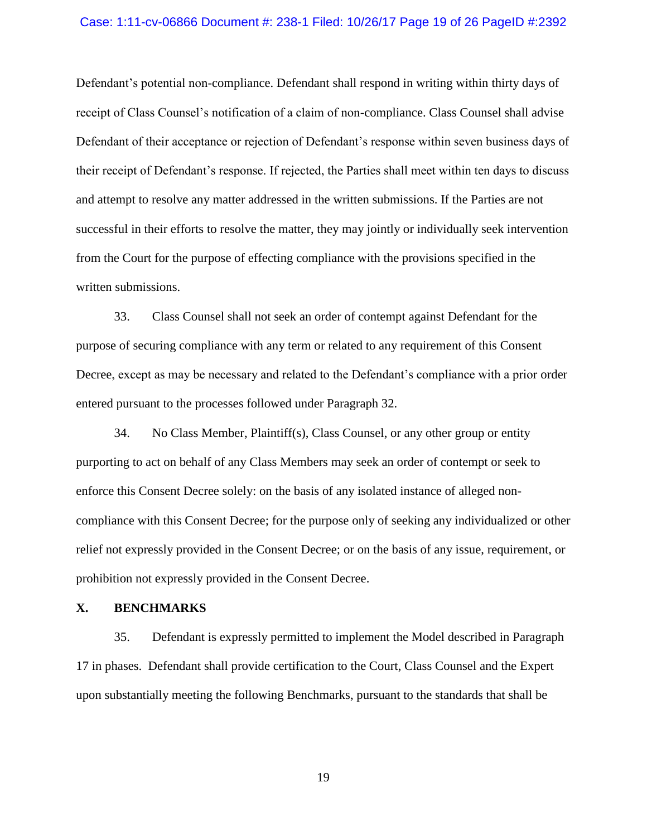#### Case: 1:11-cv-06866 Document #: 238-1 Filed: 10/26/17 Page 19 of 26 PageID #:2392

Defendant's potential non-compliance. Defendant shall respond in writing within thirty days of receipt of Class Counsel's notification of a claim of non-compliance. Class Counsel shall advise Defendant of their acceptance or rejection of Defendant's response within seven business days of their receipt of Defendant's response. If rejected, the Parties shall meet within ten days to discuss and attempt to resolve any matter addressed in the written submissions. If the Parties are not successful in their efforts to resolve the matter, they may jointly or individually seek intervention from the Court for the purpose of effecting compliance with the provisions specified in the written submissions.

33. Class Counsel shall not seek an order of contempt against Defendant for the purpose of securing compliance with any term or related to any requirement of this Consent Decree, except as may be necessary and related to the Defendant's compliance with a prior order entered pursuant to the processes followed under Paragraph 32.

34. No Class Member, Plaintiff(s), Class Counsel, or any other group or entity purporting to act on behalf of any Class Members may seek an order of contempt or seek to enforce this Consent Decree solely: on the basis of any isolated instance of alleged noncompliance with this Consent Decree; for the purpose only of seeking any individualized or other relief not expressly provided in the Consent Decree; or on the basis of any issue, requirement, or prohibition not expressly provided in the Consent Decree.

# **X. BENCHMARKS**

35. Defendant is expressly permitted to implement the Model described in Paragraph 17 in phases. Defendant shall provide certification to the Court, Class Counsel and the Expert upon substantially meeting the following Benchmarks, pursuant to the standards that shall be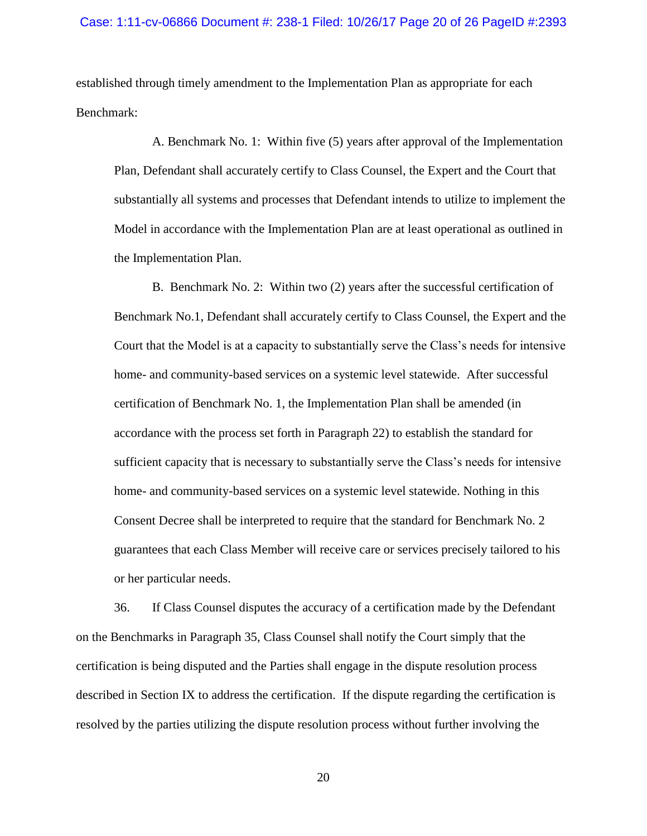established through timely amendment to the Implementation Plan as appropriate for each Benchmark:

A. Benchmark No. 1: Within five (5) years after approval of the Implementation Plan, Defendant shall accurately certify to Class Counsel, the Expert and the Court that substantially all systems and processes that Defendant intends to utilize to implement the Model in accordance with the Implementation Plan are at least operational as outlined in the Implementation Plan.

B. Benchmark No. 2: Within two (2) years after the successful certification of Benchmark No.1, Defendant shall accurately certify to Class Counsel, the Expert and the Court that the Model is at a capacity to substantially serve the Class's needs for intensive home- and community-based services on a systemic level statewide. After successful certification of Benchmark No. 1, the Implementation Plan shall be amended (in accordance with the process set forth in Paragraph 22) to establish the standard for sufficient capacity that is necessary to substantially serve the Class's needs for intensive home- and community-based services on a systemic level statewide. Nothing in this Consent Decree shall be interpreted to require that the standard for Benchmark No. 2 guarantees that each Class Member will receive care or services precisely tailored to his or her particular needs.

36. If Class Counsel disputes the accuracy of a certification made by the Defendant on the Benchmarks in Paragraph 35, Class Counsel shall notify the Court simply that the certification is being disputed and the Parties shall engage in the dispute resolution process described in Section IX to address the certification. If the dispute regarding the certification is resolved by the parties utilizing the dispute resolution process without further involving the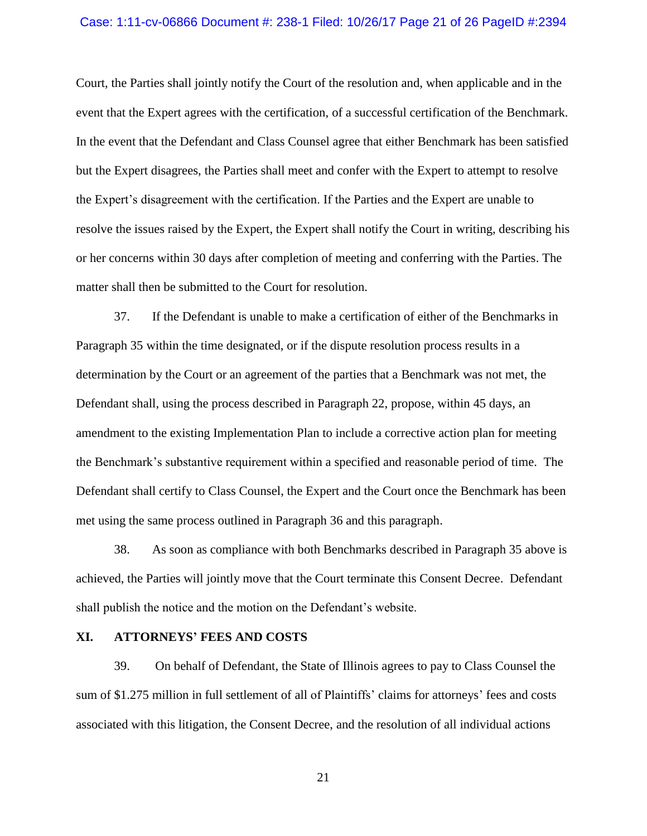#### Case: 1:11-cv-06866 Document #: 238-1 Filed: 10/26/17 Page 21 of 26 PageID #:2394

Court, the Parties shall jointly notify the Court of the resolution and, when applicable and in the event that the Expert agrees with the certification, of a successful certification of the Benchmark. In the event that the Defendant and Class Counsel agree that either Benchmark has been satisfied but the Expert disagrees, the Parties shall meet and confer with the Expert to attempt to resolve the Expert's disagreement with the certification. If the Parties and the Expert are unable to resolve the issues raised by the Expert, the Expert shall notify the Court in writing, describing his or her concerns within 30 days after completion of meeting and conferring with the Parties. The matter shall then be submitted to the Court for resolution.

37. If the Defendant is unable to make a certification of either of the Benchmarks in Paragraph 35 within the time designated, or if the dispute resolution process results in a determination by the Court or an agreement of the parties that a Benchmark was not met, the Defendant shall, using the process described in Paragraph 22, propose, within 45 days, an amendment to the existing Implementation Plan to include a corrective action plan for meeting the Benchmark's substantive requirement within a specified and reasonable period of time. The Defendant shall certify to Class Counsel, the Expert and the Court once the Benchmark has been met using the same process outlined in Paragraph 36 and this paragraph.

38. As soon as compliance with both Benchmarks described in Paragraph 35 above is achieved, the Parties will jointly move that the Court terminate this Consent Decree. Defendant shall publish the notice and the motion on the Defendant's website.

## **XI. ATTORNEYS' FEES AND COSTS**

39. On behalf of Defendant, the State of Illinois agrees to pay to Class Counsel the sum of \$1.275 million in full settlement of all of Plaintiffs' claims for attorneys' fees and costs associated with this litigation, the Consent Decree, and the resolution of all individual actions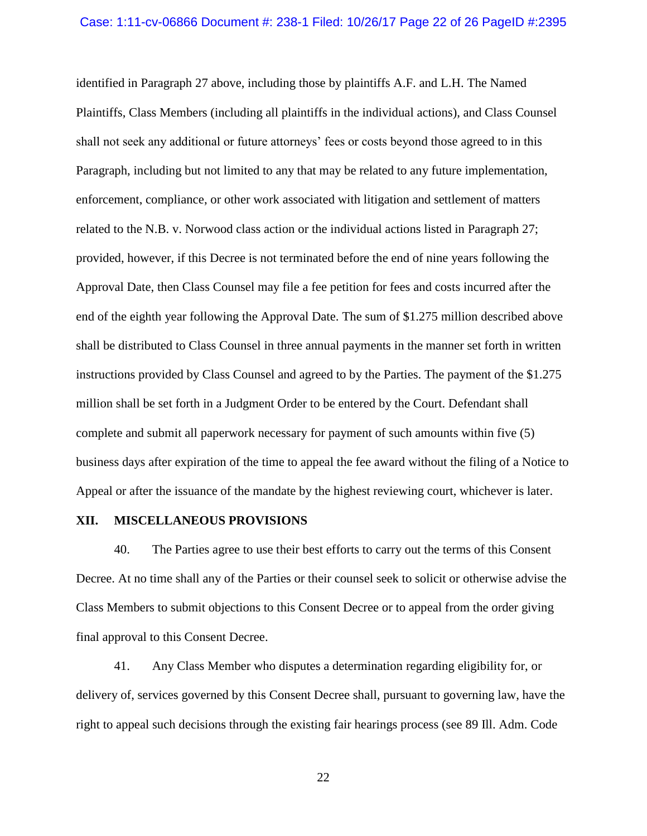identified in Paragraph 27 above, including those by plaintiffs A.F. and L.H. The Named Plaintiffs, Class Members (including all plaintiffs in the individual actions), and Class Counsel shall not seek any additional or future attorneys' fees or costs beyond those agreed to in this Paragraph, including but not limited to any that may be related to any future implementation, enforcement, compliance, or other work associated with litigation and settlement of matters related to the N.B. v. Norwood class action or the individual actions listed in Paragraph 27; provided, however, if this Decree is not terminated before the end of nine years following the Approval Date, then Class Counsel may file a fee petition for fees and costs incurred after the end of the eighth year following the Approval Date. The sum of \$1.275 million described above shall be distributed to Class Counsel in three annual payments in the manner set forth in written instructions provided by Class Counsel and agreed to by the Parties. The payment of the \$1.275 million shall be set forth in a Judgment Order to be entered by the Court. Defendant shall complete and submit all paperwork necessary for payment of such amounts within five (5) business days after expiration of the time to appeal the fee award without the filing of a Notice to Appeal or after the issuance of the mandate by the highest reviewing court, whichever is later.

#### **XII. MISCELLANEOUS PROVISIONS**

40. The Parties agree to use their best efforts to carry out the terms of this Consent Decree. At no time shall any of the Parties or their counsel seek to solicit or otherwise advise the Class Members to submit objections to this Consent Decree or to appeal from the order giving final approval to this Consent Decree.

41. Any Class Member who disputes a determination regarding eligibility for, or delivery of, services governed by this Consent Decree shall, pursuant to governing law, have the right to appeal such decisions through the existing fair hearings process (see 89 Ill. Adm. Code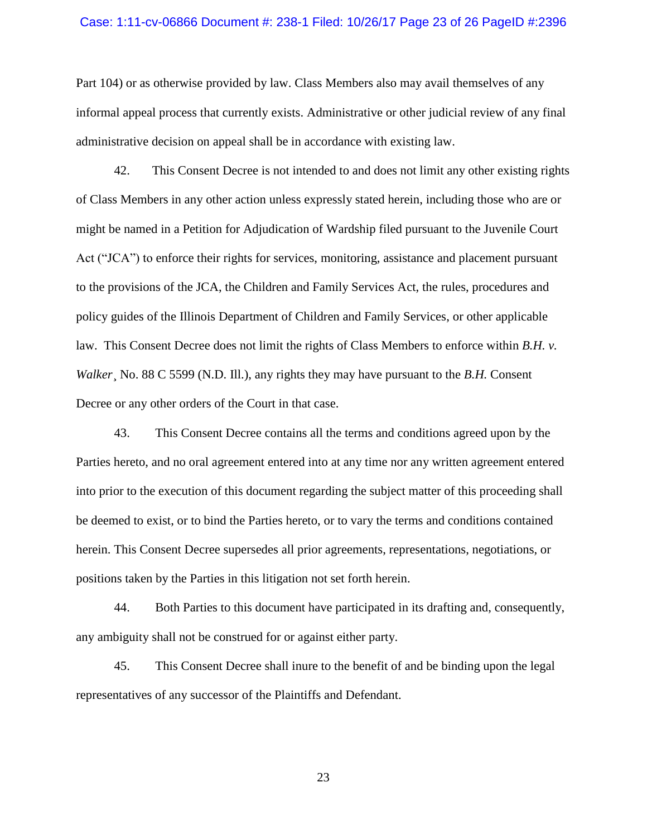#### Case: 1:11-cv-06866 Document #: 238-1 Filed: 10/26/17 Page 23 of 26 PageID #:2396

Part 104) or as otherwise provided by law. Class Members also may avail themselves of any informal appeal process that currently exists. Administrative or other judicial review of any final administrative decision on appeal shall be in accordance with existing law.

42. This Consent Decree is not intended to and does not limit any other existing rights of Class Members in any other action unless expressly stated herein, including those who are or might be named in a Petition for Adjudication of Wardship filed pursuant to the Juvenile Court Act ("JCA") to enforce their rights for services, monitoring, assistance and placement pursuant to the provisions of the JCA, the Children and Family Services Act, the rules, procedures and policy guides of the Illinois Department of Children and Family Services, or other applicable law. This Consent Decree does not limit the rights of Class Members to enforce within *B.H. v. Walker*¸ No. 88 C 5599 (N.D. Ill.), any rights they may have pursuant to the *B.H.* Consent Decree or any other orders of the Court in that case.

43. This Consent Decree contains all the terms and conditions agreed upon by the Parties hereto, and no oral agreement entered into at any time nor any written agreement entered into prior to the execution of this document regarding the subject matter of this proceeding shall be deemed to exist, or to bind the Parties hereto, or to vary the terms and conditions contained herein. This Consent Decree supersedes all prior agreements, representations, negotiations, or positions taken by the Parties in this litigation not set forth herein.

44. Both Parties to this document have participated in its drafting and, consequently, any ambiguity shall not be construed for or against either party.

45. This Consent Decree shall inure to the benefit of and be binding upon the legal representatives of any successor of the Plaintiffs and Defendant.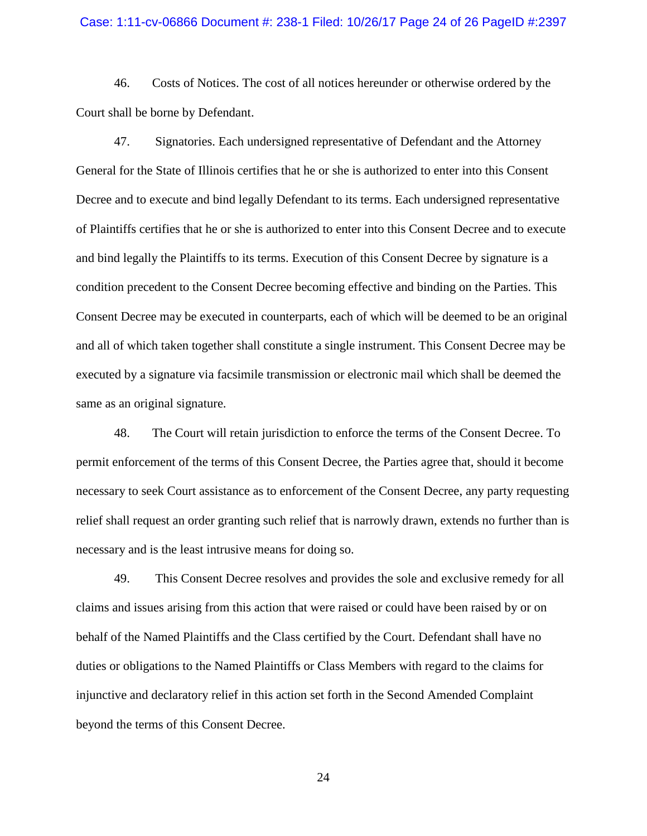#### Case: 1:11-cv-06866 Document #: 238-1 Filed: 10/26/17 Page 24 of 26 PageID #:2397

46. Costs of Notices. The cost of all notices hereunder or otherwise ordered by the Court shall be borne by Defendant.

47. Signatories. Each undersigned representative of Defendant and the Attorney General for the State of Illinois certifies that he or she is authorized to enter into this Consent Decree and to execute and bind legally Defendant to its terms. Each undersigned representative of Plaintiffs certifies that he or she is authorized to enter into this Consent Decree and to execute and bind legally the Plaintiffs to its terms. Execution of this Consent Decree by signature is a condition precedent to the Consent Decree becoming effective and binding on the Parties. This Consent Decree may be executed in counterparts, each of which will be deemed to be an original and all of which taken together shall constitute a single instrument. This Consent Decree may be executed by a signature via facsimile transmission or electronic mail which shall be deemed the same as an original signature.

48. The Court will retain jurisdiction to enforce the terms of the Consent Decree. To permit enforcement of the terms of this Consent Decree, the Parties agree that, should it become necessary to seek Court assistance as to enforcement of the Consent Decree, any party requesting relief shall request an order granting such relief that is narrowly drawn, extends no further than is necessary and is the least intrusive means for doing so.

49. This Consent Decree resolves and provides the sole and exclusive remedy for all claims and issues arising from this action that were raised or could have been raised by or on behalf of the Named Plaintiffs and the Class certified by the Court. Defendant shall have no duties or obligations to the Named Plaintiffs or Class Members with regard to the claims for injunctive and declaratory relief in this action set forth in the Second Amended Complaint beyond the terms of this Consent Decree.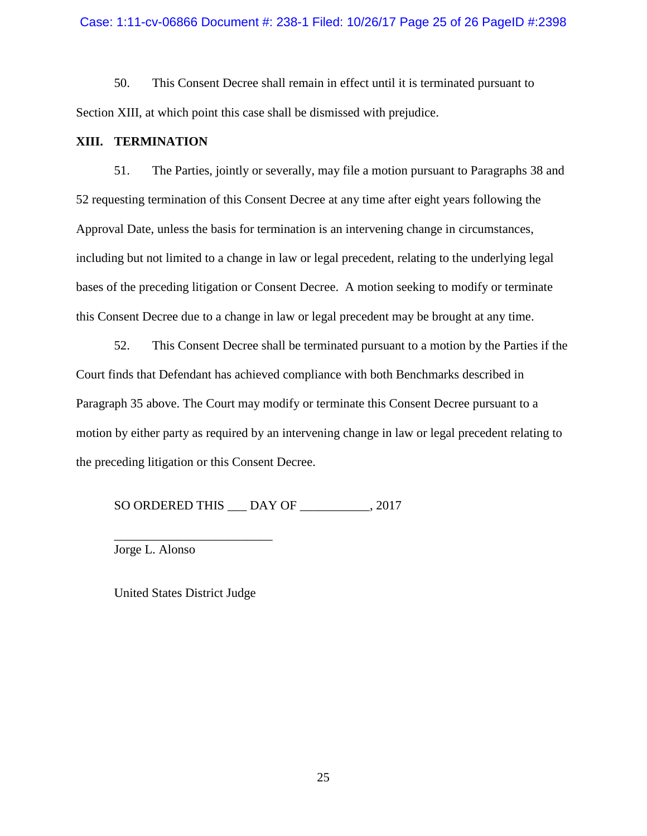50. This Consent Decree shall remain in effect until it is terminated pursuant to Section XIII, at which point this case shall be dismissed with prejudice.

# **XIII. TERMINATION**

51. The Parties, jointly or severally, may file a motion pursuant to Paragraphs 38 and 52 requesting termination of this Consent Decree at any time after eight years following the Approval Date, unless the basis for termination is an intervening change in circumstances, including but not limited to a change in law or legal precedent, relating to the underlying legal bases of the preceding litigation or Consent Decree. A motion seeking to modify or terminate this Consent Decree due to a change in law or legal precedent may be brought at any time.

52. This Consent Decree shall be terminated pursuant to a motion by the Parties if the Court finds that Defendant has achieved compliance with both Benchmarks described in Paragraph 35 above. The Court may modify or terminate this Consent Decree pursuant to a motion by either party as required by an intervening change in law or legal precedent relating to the preceding litigation or this Consent Decree.

SO ORDERED THIS DAY OF 3017

Jorge L. Alonso

United States District Judge

\_\_\_\_\_\_\_\_\_\_\_\_\_\_\_\_\_\_\_\_\_\_\_\_\_